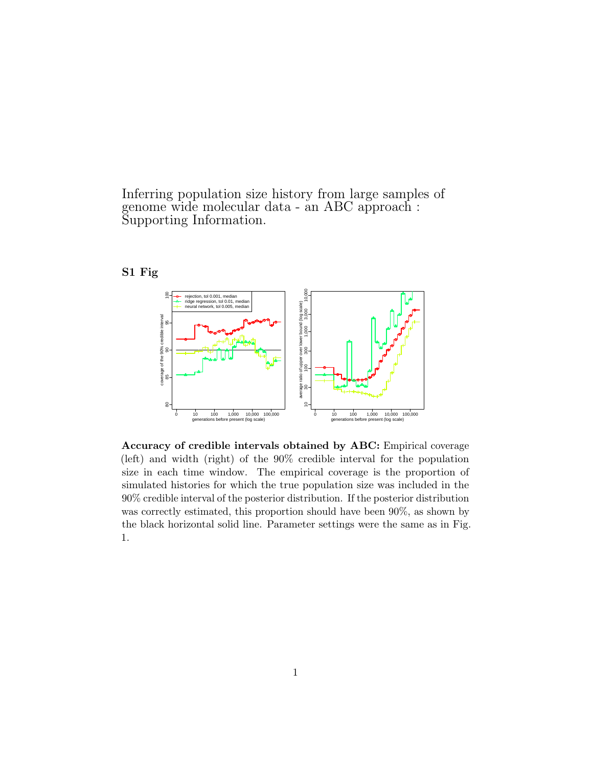Inferring population size history from large samples of genome wide molecular data - an ABC approach : Supporting Information.

## S1 Fig



Accuracy of credible intervals obtained by ABC: Empirical coverage (left) and width (right) of the 90% credible interval for the population size in each time window. The empirical coverage is the proportion of simulated histories for which the true population size was included in the 90% credible interval of the posterior distribution. If the posterior distribution was correctly estimated, this proportion should have been 90%, as shown by the black horizontal solid line. Parameter settings were the same as in Fig. 1.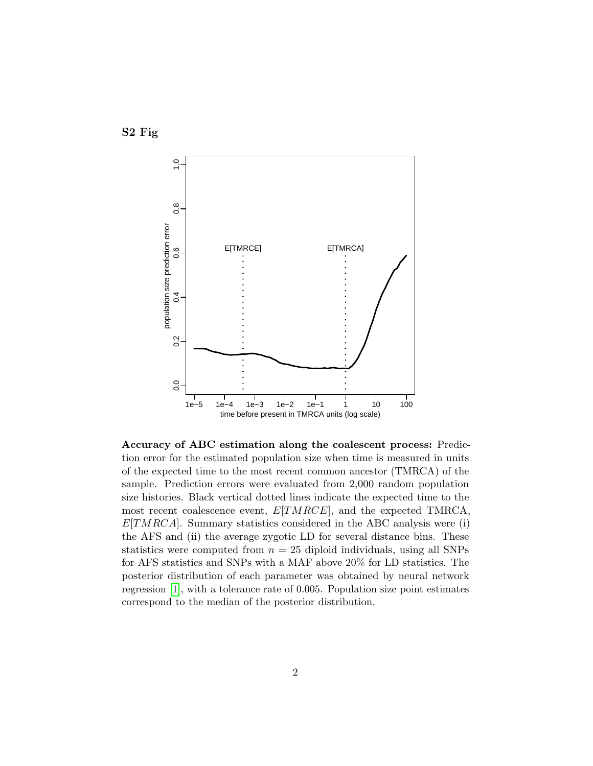



Accuracy of ABC estimation along the coalescent process: Prediction error for the estimated population size when time is measured in units of the expected time to the most recent common ancestor (TMRCA) of the sample. Prediction errors were evaluated from 2,000 random population size histories. Black vertical dotted lines indicate the expected time to the most recent coalescence event,  $E[TMRCE]$ , and the expected TMRCA,  $E[TMRCA]$ . Summary statistics considered in the ABC analysis were (i) the AFS and (ii) the average zygotic LD for several distance bins. These statistics were computed from  $n = 25$  diploid individuals, using all SNPs for AFS statistics and SNPs with a MAF above 20% for LD statistics. The posterior distribution of each parameter was obtained by neural network regression [\[1\]](#page-34-0), with a tolerance rate of 0.005. Population size point estimates correspond to the median of the posterior distribution.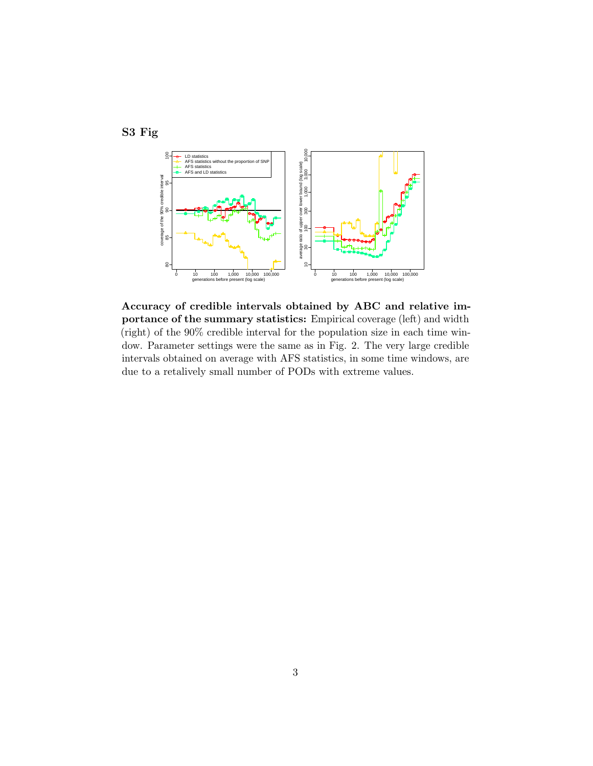



Accuracy of credible intervals obtained by ABC and relative importance of the summary statistics: Empirical coverage (left) and width (right) of the 90% credible interval for the population size in each time window. Parameter settings were the same as in Fig. 2. The very large credible intervals obtained on average with AFS statistics, in some time windows, are due to a retalively small number of PODs with extreme values.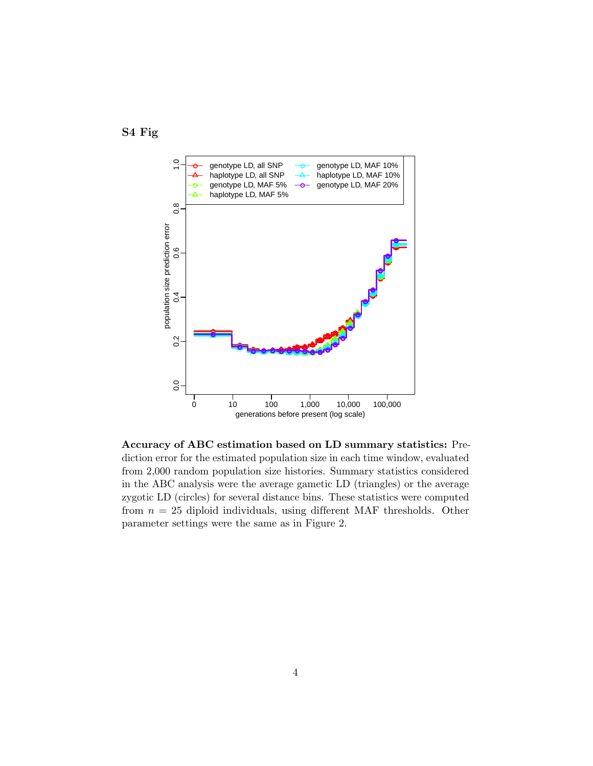



Accuracy of ABC estimation based on LD summary statistics: Prediction error for the estimated population size in each time window, evaluated from 2,000 random population size histories. Summary statistics considered in the ABC analysis were the average gametic LD (triangles) or the average zygotic LD (circles) for several distance bins. These statistics were computed from  $n = 25$  diploid individuals, using different MAF thresholds. Other parameter settings were the same as in Figure 2.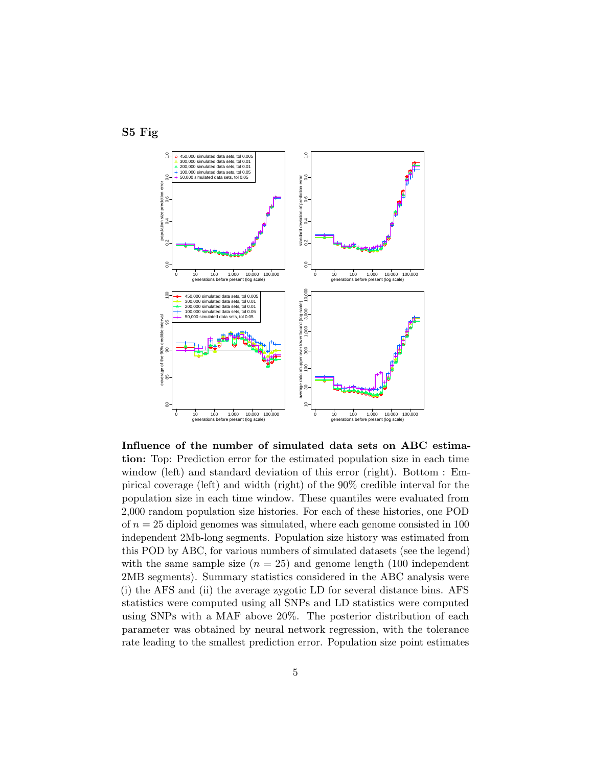<span id="page-4-0"></span>



Influence of the number of simulated data sets on ABC estimation: Top: Prediction error for the estimated population size in each time window (left) and standard deviation of this error (right). Bottom : Empirical coverage (left) and width (right) of the 90% credible interval for the population size in each time window. These quantiles were evaluated from 2,000 random population size histories. For each of these histories, one POD of  $n = 25$  diploid genomes was simulated, where each genome consisted in 100 independent 2Mb-long segments. Population size history was estimated from this POD by ABC, for various numbers of simulated datasets (see the legend) with the same sample size  $(n = 25)$  and genome length (100 independent 2MB segments). Summary statistics considered in the ABC analysis were (i) the AFS and (ii) the average zygotic LD for several distance bins. AFS statistics were computed using all SNPs and LD statistics were computed using SNPs with a MAF above 20%. The posterior distribution of each parameter was obtained by neural network regression, with the tolerance rate leading to the smallest prediction error. Population size point estimates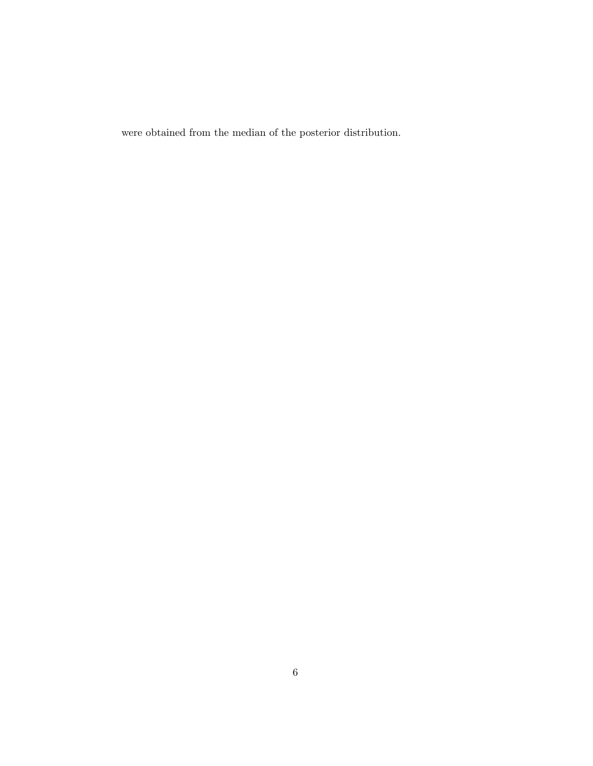were obtained from the median of the posterior distribution.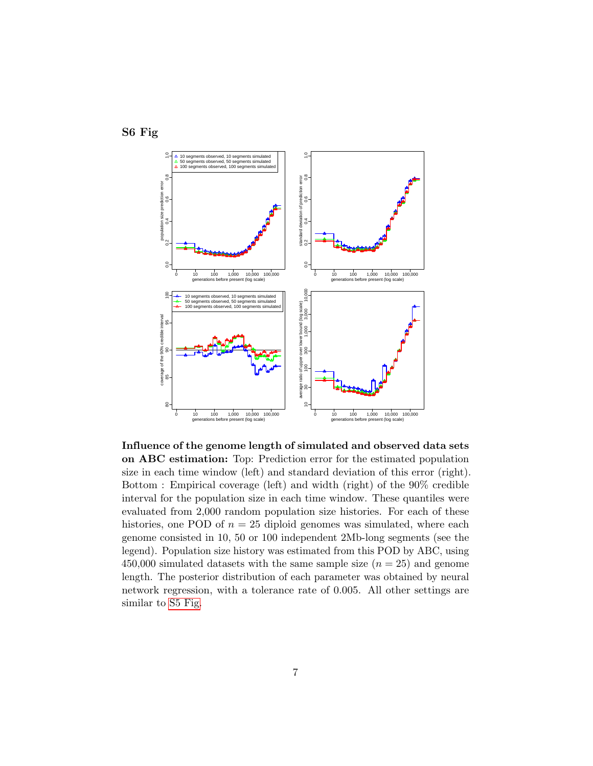



Influence of the genome length of simulated and observed data sets on ABC estimation: Top: Prediction error for the estimated population size in each time window (left) and standard deviation of this error (right). Bottom : Empirical coverage (left) and width (right) of the 90% credible interval for the population size in each time window. These quantiles were evaluated from 2,000 random population size histories. For each of these histories, one POD of  $n = 25$  diploid genomes was simulated, where each genome consisted in 10, 50 or 100 independent 2Mb-long segments (see the legend). Population size history was estimated from this POD by ABC, using 450,000 simulated datasets with the same sample size  $(n = 25)$  and genome length. The posterior distribution of each parameter was obtained by neural network regression, with a tolerance rate of 0.005. All other settings are similar to [S5 Fig.](#page-4-0)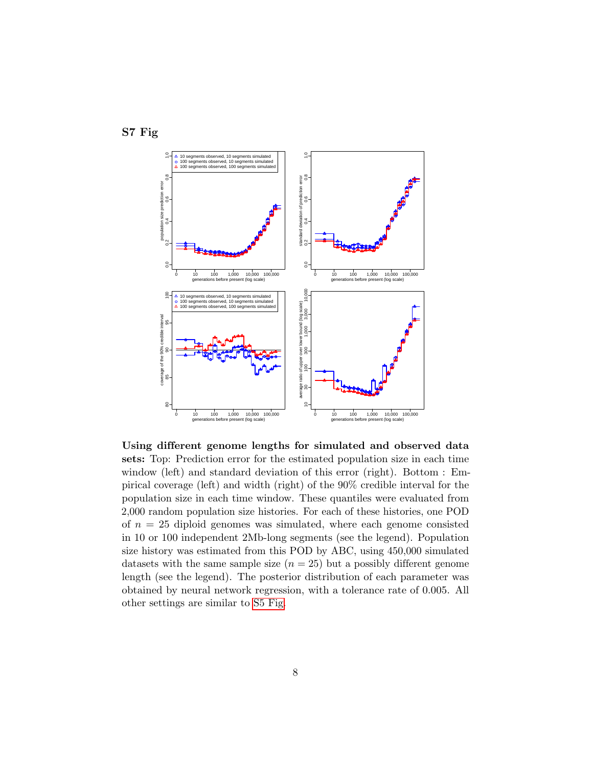



Using different genome lengths for simulated and observed data sets: Top: Prediction error for the estimated population size in each time window (left) and standard deviation of this error (right). Bottom : Empirical coverage (left) and width (right) of the 90% credible interval for the population size in each time window. These quantiles were evaluated from 2,000 random population size histories. For each of these histories, one POD of  $n = 25$  diploid genomes was simulated, where each genome consisted in 10 or 100 independent 2Mb-long segments (see the legend). Population size history was estimated from this POD by ABC, using 450,000 simulated datasets with the same sample size  $(n = 25)$  but a possibly different genome length (see the legend). The posterior distribution of each parameter was obtained by neural network regression, with a tolerance rate of 0.005. All other settings are similar to [S5 Fig.](#page-4-0)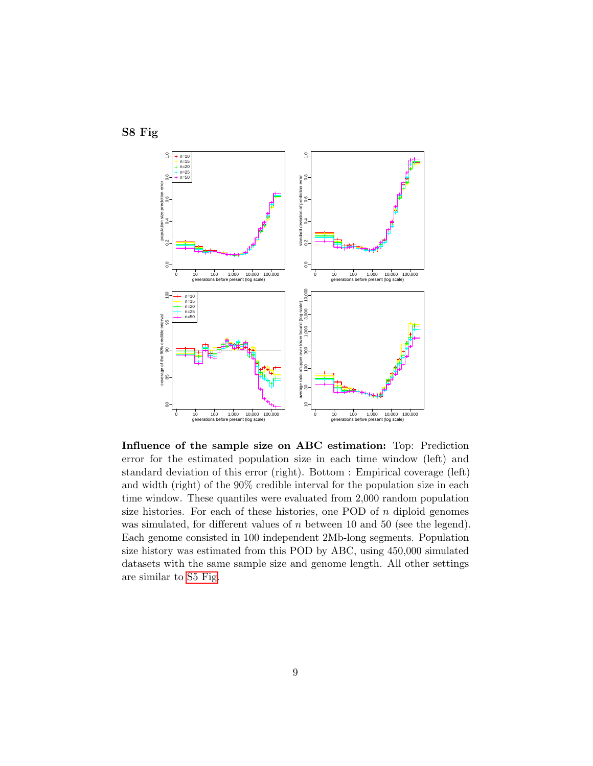



Influence of the sample size on ABC estimation: Top: Prediction error for the estimated population size in each time window (left) and standard deviation of this error (right). Bottom : Empirical coverage (left) and width (right) of the 90% credible interval for the population size in each time window. These quantiles were evaluated from 2,000 random population size histories. For each of these histories, one POD of  $n$  diploid genomes was simulated, for different values of  $n$  between 10 and 50 (see the legend). Each genome consisted in 100 independent 2Mb-long segments. Population size history was estimated from this POD by ABC, using 450,000 simulated datasets with the same sample size and genome length. All other settings are similar to [S5 Fig.](#page-4-0)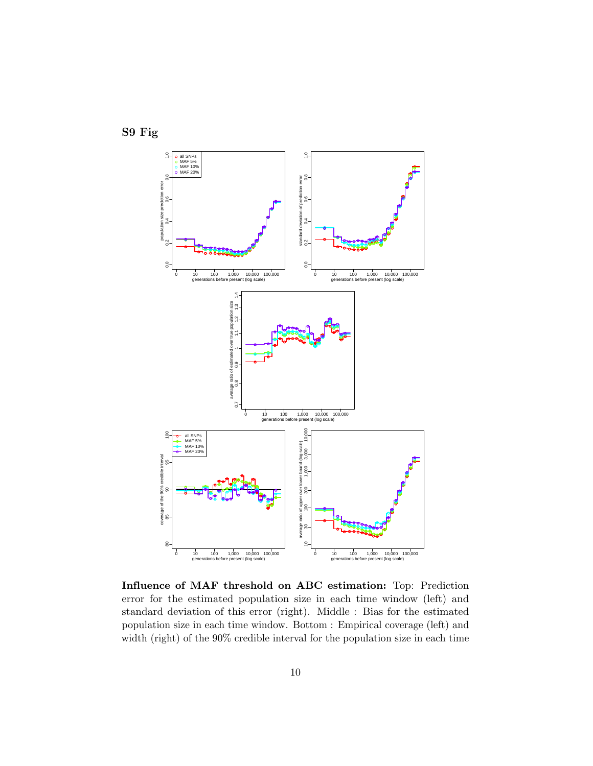

Influence of MAF threshold on ABC estimation: Top: Prediction error for the estimated population size in each time window (left) and standard deviation of this error (right). Middle : Bias for the estimated population size in each time window. Bottom : Empirical coverage (left) and width (right) of the 90% credible interval for the population size in each time

S9 Fig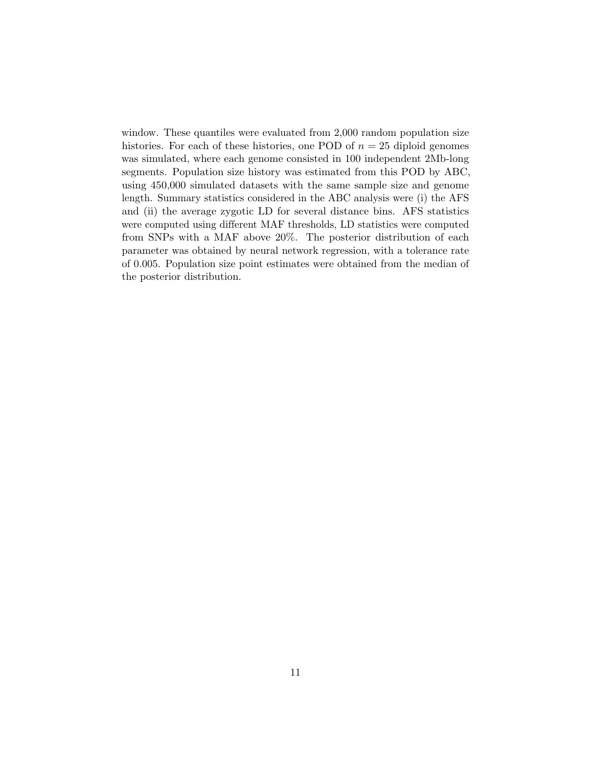window. These quantiles were evaluated from 2,000 random population size histories. For each of these histories, one POD of  $n = 25$  diploid genomes was simulated, where each genome consisted in 100 independent 2Mb-long segments. Population size history was estimated from this POD by ABC, using 450,000 simulated datasets with the same sample size and genome length. Summary statistics considered in the ABC analysis were (i) the AFS and (ii) the average zygotic LD for several distance bins. AFS statistics were computed using different MAF thresholds, LD statistics were computed from SNPs with a MAF above 20%. The posterior distribution of each parameter was obtained by neural network regression, with a tolerance rate of 0.005. Population size point estimates were obtained from the median of the posterior distribution.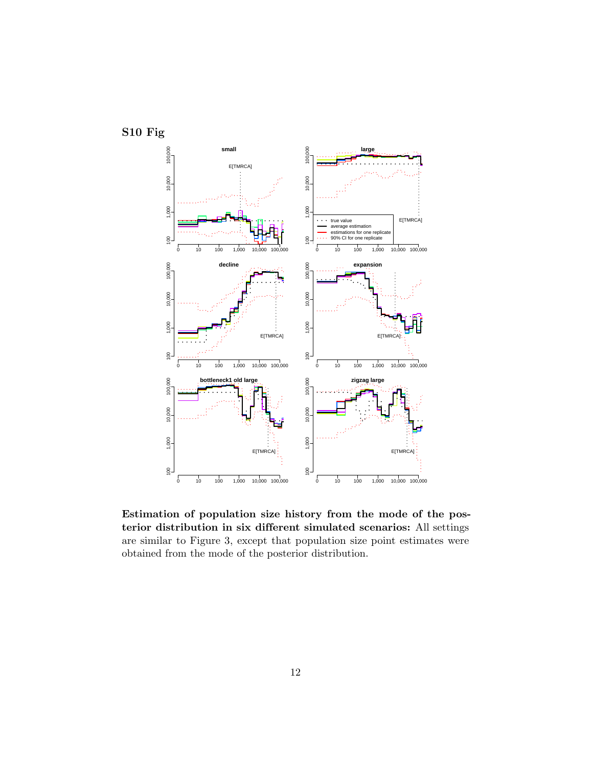

Estimation of population size history from the mode of the posterior distribution in six different simulated scenarios: All settings are similar to Figure 3, except that population size point estimates were obtained from the mode of the posterior distribution.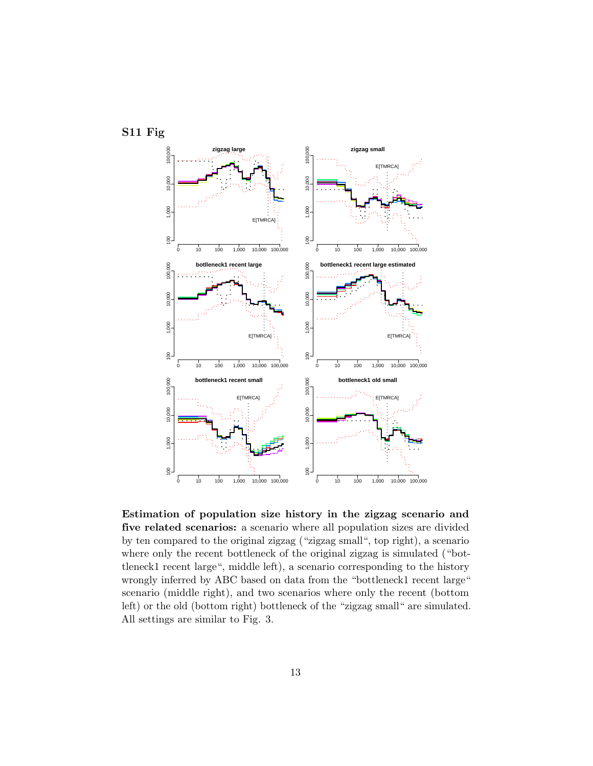

S11 Fig

Estimation of population size history in the zigzag scenario and five related scenarios: a scenario where all population sizes are divided by ten compared to the original zigzag ("zigzag small", top right), a scenario where only the recent bottleneck of the original zigzag is simulated ("bottleneck1 recent large", middle left), a scenario corresponding to the history wrongly inferred by ABC based on data from the "bottleneck1 recent large" scenario (middle right), and two scenarios where only the recent (bottom left) or the old (bottom right) bottleneck of the "zigzag small" are simulated. All settings are similar to Fig. 3.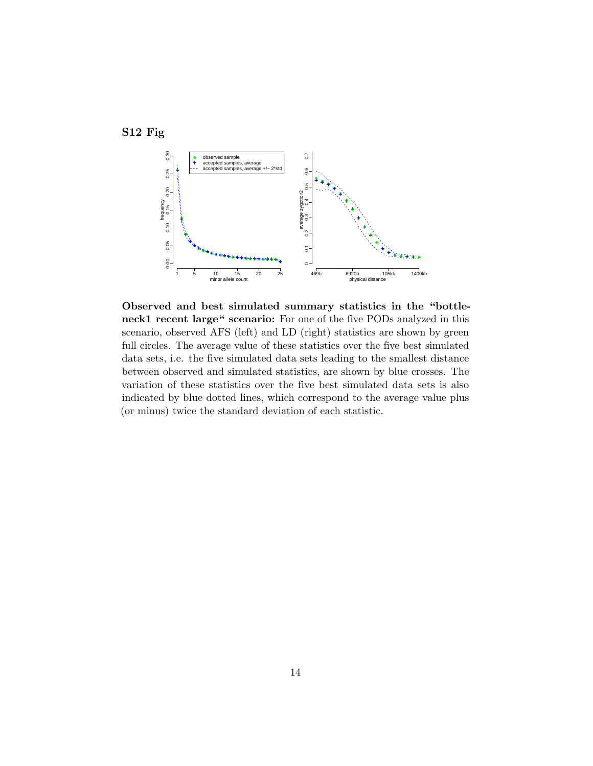



Observed and best simulated summary statistics in the "bottleneck1 recent large" scenario: For one of the five PODs analyzed in this scenario, observed AFS (left) and LD (right) statistics are shown by green full circles. The average value of these statistics over the five best simulated data sets, i.e. the five simulated data sets leading to the smallest distance between observed and simulated statistics, are shown by blue crosses. The variation of these statistics over the five best simulated data sets is also indicated by blue dotted lines, which correspond to the average value plus (or minus) twice the standard deviation of each statistic.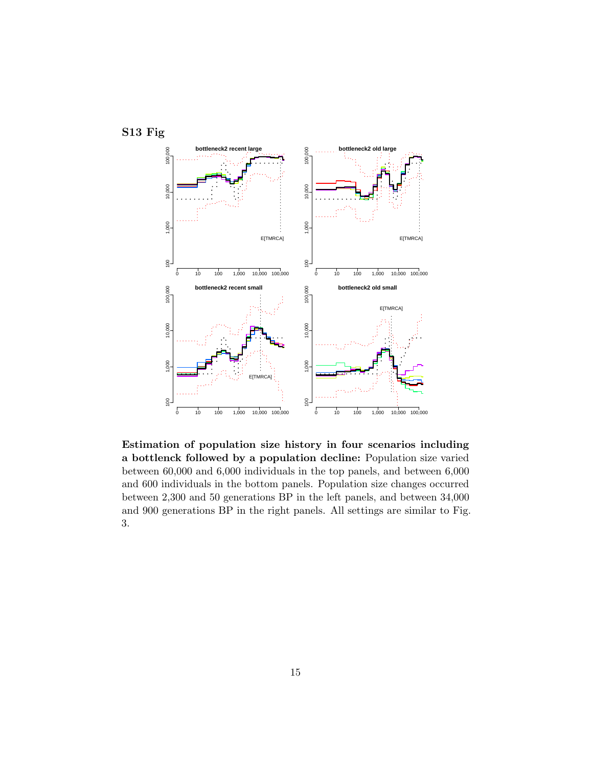

Estimation of population size history in four scenarios including a bottlenck followed by a population decline: Population size varied between 60,000 and 6,000 individuals in the top panels, and between 6,000 and 600 individuals in the bottom panels. Population size changes occurred between 2,300 and 50 generations BP in the left panels, and between 34,000 and 900 generations BP in the right panels. All settings are similar to Fig. 3.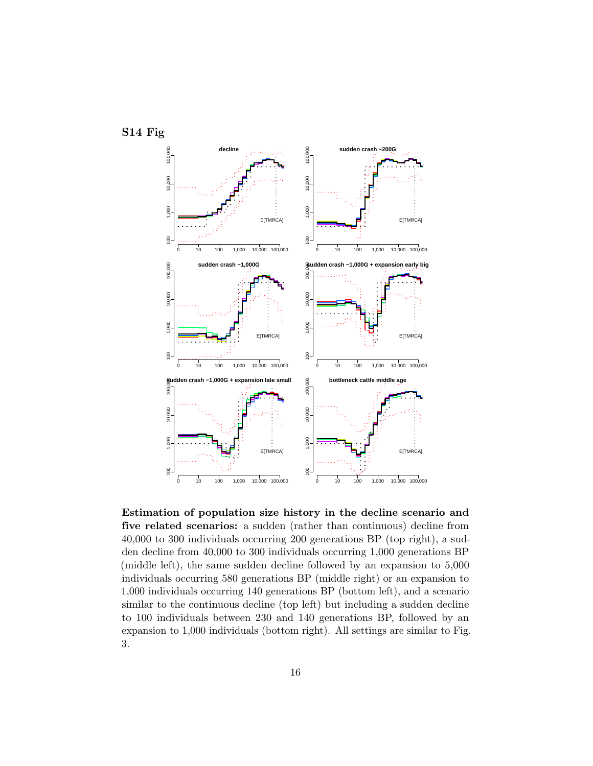

Estimation of population size history in the decline scenario and five related scenarios: a sudden (rather than continuous) decline from 40,000 to 300 individuals occurring 200 generations BP (top right), a sudden decline from 40,000 to 300 individuals occurring 1,000 generations BP (middle left), the same sudden decline followed by an expansion to 5,000 individuals occurring 580 generations BP (middle right) or an expansion to 1,000 individuals occurring 140 generations BP (bottom left), and a scenario similar to the continuous decline (top left) but including a sudden decline to 100 individuals between 230 and 140 generations BP, followed by an expansion to 1,000 individuals (bottom right). All settings are similar to Fig. 3.

<span id="page-15-0"></span>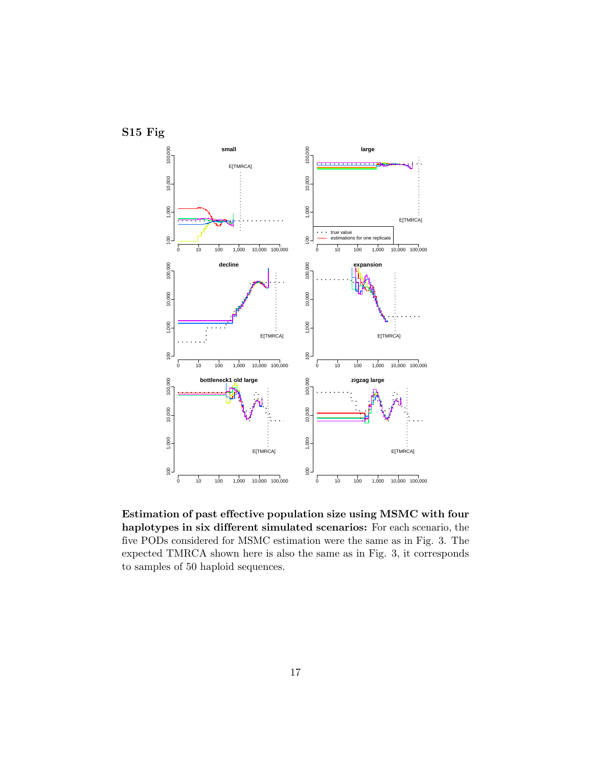<span id="page-16-0"></span>

Estimation of past effective population size using MSMC with four haplotypes in six different simulated scenarios: For each scenario, the five PODs considered for MSMC estimation were the same as in Fig. 3. The expected TMRCA shown here is also the same as in Fig. 3, it corresponds to samples of 50 haploid sequences.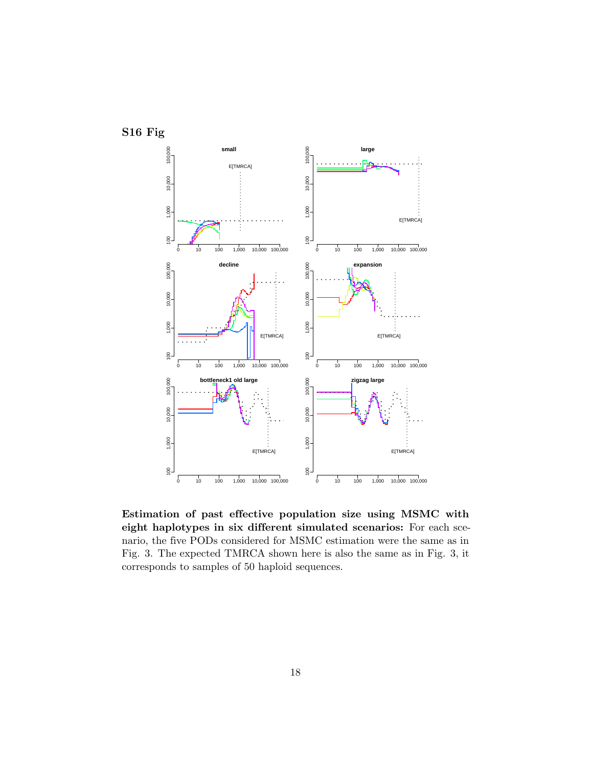

Estimation of past effective population size using MSMC with eight haplotypes in six different simulated scenarios: For each scenario, the five PODs considered for MSMC estimation were the same as in Fig. 3. The expected TMRCA shown here is also the same as in Fig. 3, it corresponds to samples of 50 haploid sequences.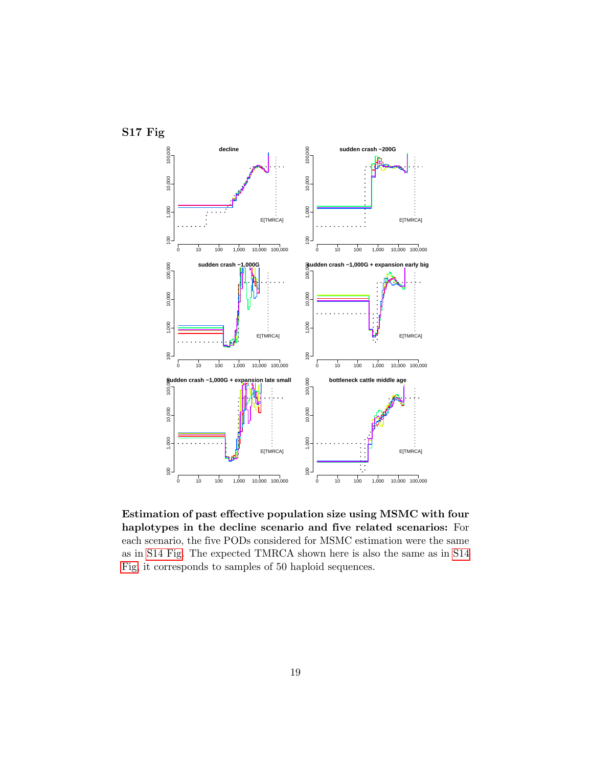

Estimation of past effective population size using MSMC with four haplotypes in the decline scenario and five related scenarios: For each scenario, the five PODs considered for MSMC estimation were the same as in [S14 Fig.](#page-15-0) The expected TMRCA shown here is also the same as in [S14](#page-15-0) [Fig,](#page-15-0) it corresponds to samples of 50 haploid sequences.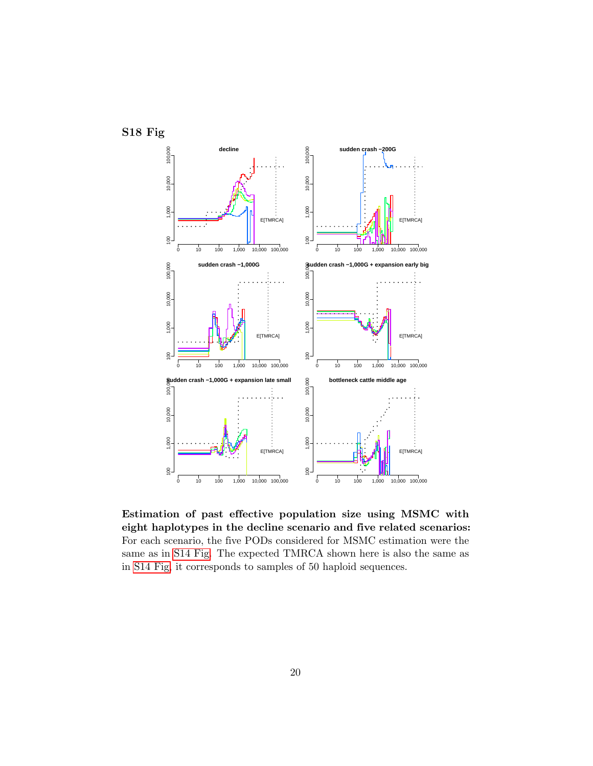

Estimation of past effective population size using MSMC with eight haplotypes in the decline scenario and five related scenarios: For each scenario, the five PODs considered for MSMC estimation were the same as in [S14 Fig.](#page-15-0) The expected TMRCA shown here is also the same as in [S14 Fig,](#page-15-0) it corresponds to samples of 50 haploid sequences.

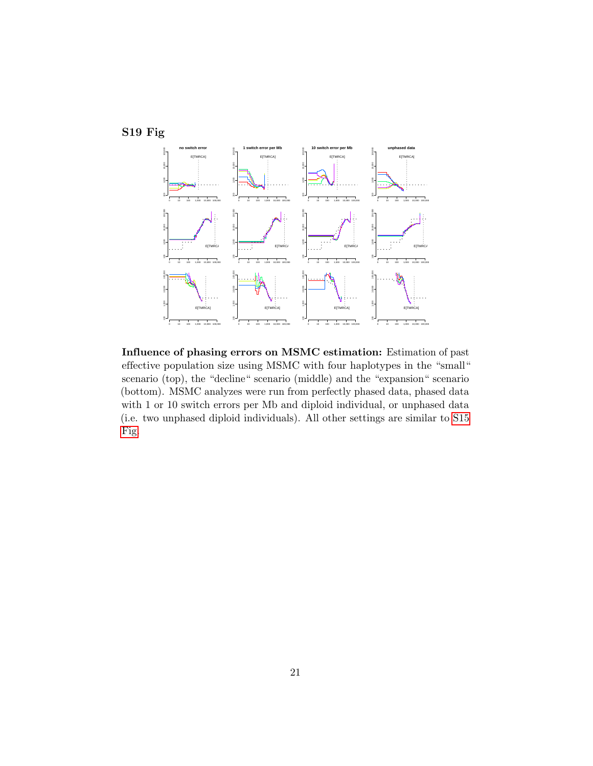

Influence of phasing errors on MSMC estimation: Estimation of past effective population size using MSMC with four haplotypes in the "small" scenario (top), the "decline" scenario (middle) and the "expansion" scenario (bottom). MSMC analyzes were run from perfectly phased data, phased data with 1 or 10 switch errors per Mb and diploid individual, or unphased data (i.e. two unphased diploid individuals). All other settings are similar to [S15](#page-16-0) [Fig.](#page-16-0)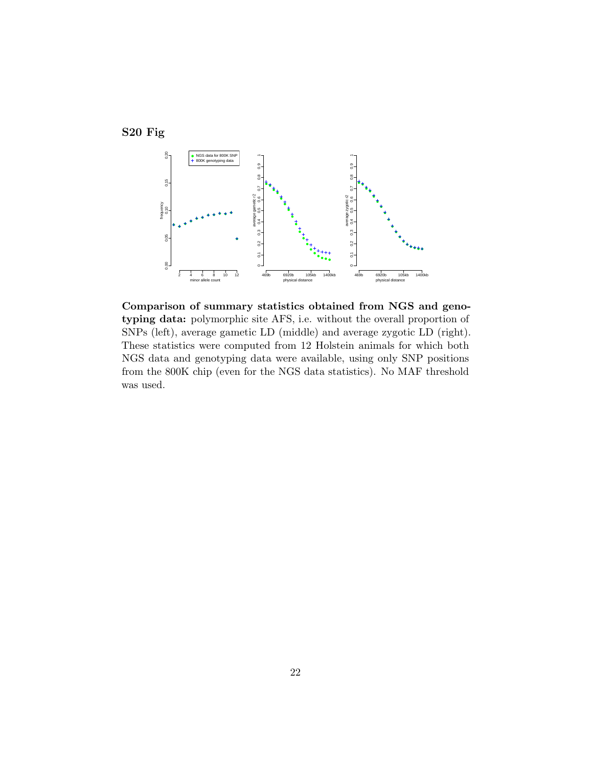



Comparison of summary statistics obtained from NGS and genotyping data: polymorphic site AFS, i.e. without the overall proportion of SNPs (left), average gametic LD (middle) and average zygotic LD (right). These statistics were computed from 12 Holstein animals for which both NGS data and genotyping data were available, using only SNP positions from the 800K chip (even for the NGS data statistics). No MAF threshold was used.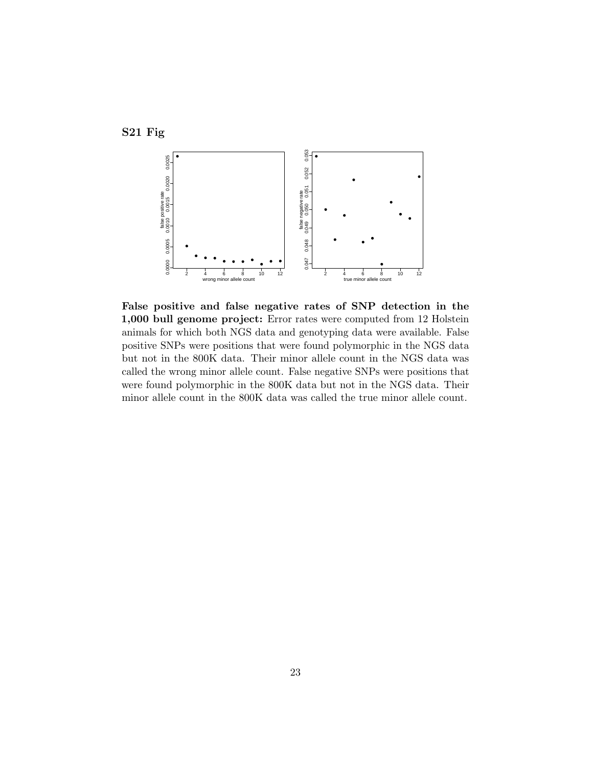

False positive and false negative rates of SNP detection in the 1,000 bull genome project: Error rates were computed from 12 Holstein animals for which both NGS data and genotyping data were available. False positive SNPs were positions that were found polymorphic in the NGS data but not in the 800K data. Their minor allele count in the NGS data was called the wrong minor allele count. False negative SNPs were positions that were found polymorphic in the 800K data but not in the NGS data. Their minor allele count in the 800K data was called the true minor allele count.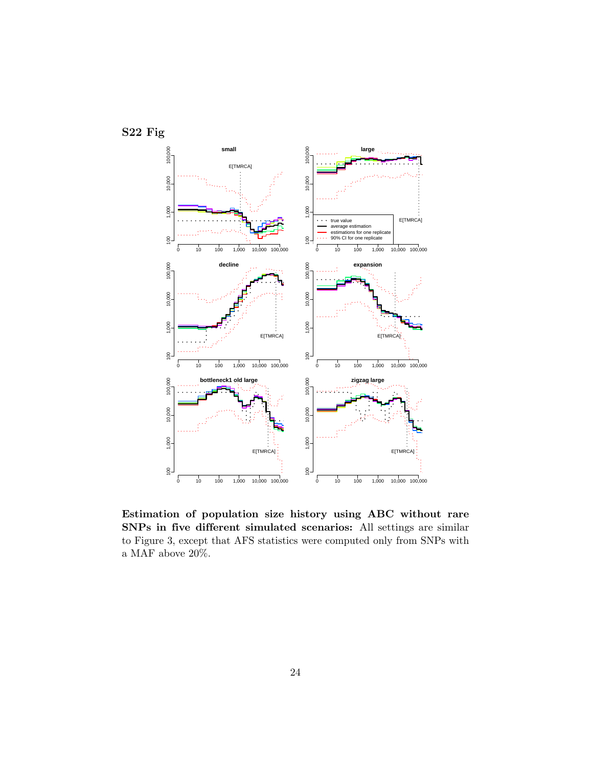

Estimation of population size history using ABC without rare SNPs in five different simulated scenarios: All settings are similar to Figure 3, except that AFS statistics were computed only from SNPs with a MAF above 20%.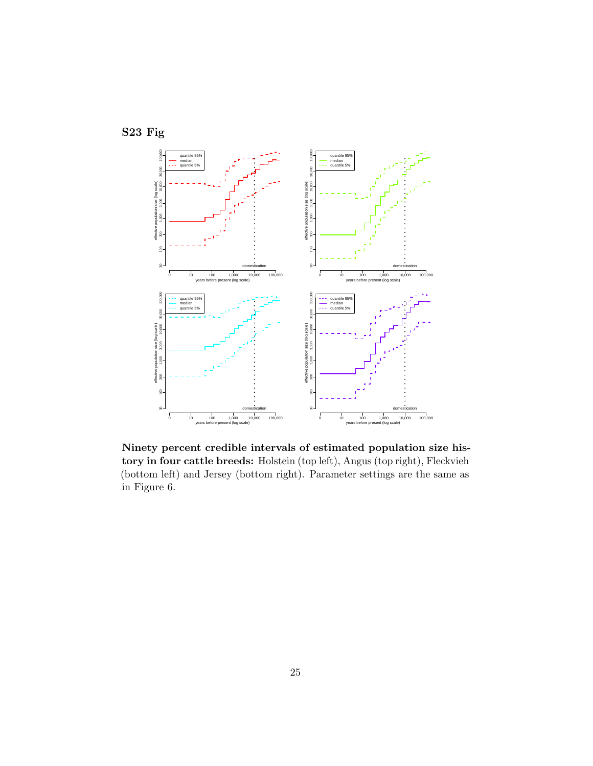



Ninety percent credible intervals of estimated population size history in four cattle breeds: Holstein (top left), Angus (top right), Fleckvieh (bottom left) and Jersey (bottom right). Parameter settings are the same as in Figure 6.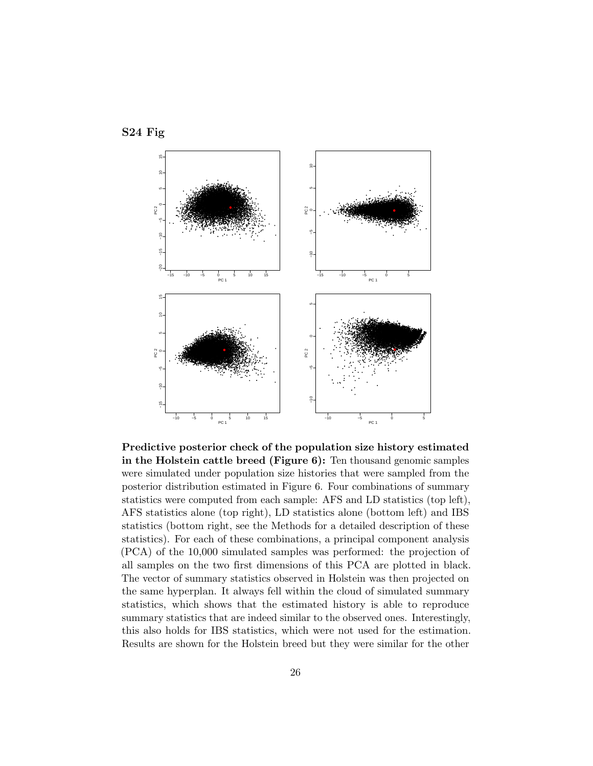

Predictive posterior check of the population size history estimated in the Holstein cattle breed (Figure  $6$ ): Ten thousand genomic samples were simulated under population size histories that were sampled from the posterior distribution estimated in Figure 6. Four combinations of summary statistics were computed from each sample: AFS and LD statistics (top left), AFS statistics alone (top right), LD statistics alone (bottom left) and IBS statistics (bottom right, see the Methods for a detailed description of these statistics). For each of these combinations, a principal component analysis (PCA) of the 10,000 simulated samples was performed: the projection of all samples on the two first dimensions of this PCA are plotted in black. The vector of summary statistics observed in Holstein was then projected on the same hyperplan. It always fell within the cloud of simulated summary statistics, which shows that the estimated history is able to reproduce summary statistics that are indeed similar to the observed ones. Interestingly, this also holds for IBS statistics, which were not used for the estimation. Results are shown for the Holstein breed but they were similar for the other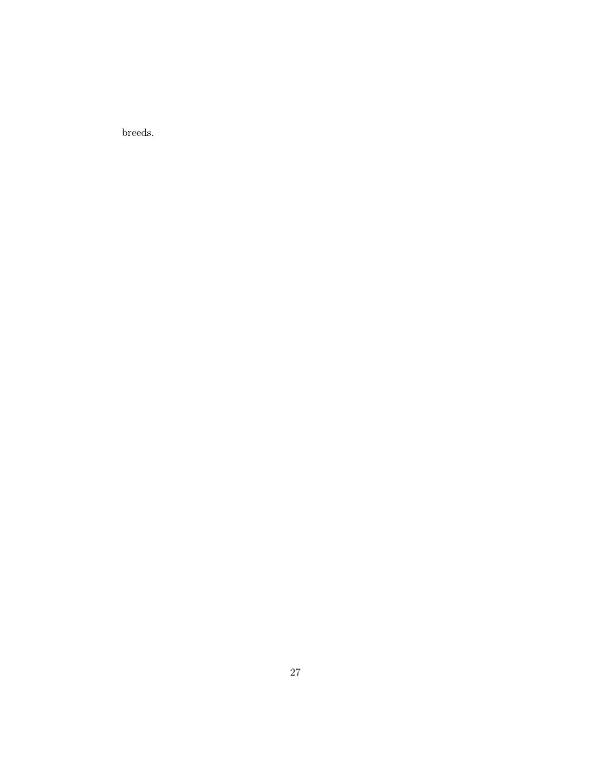breeds.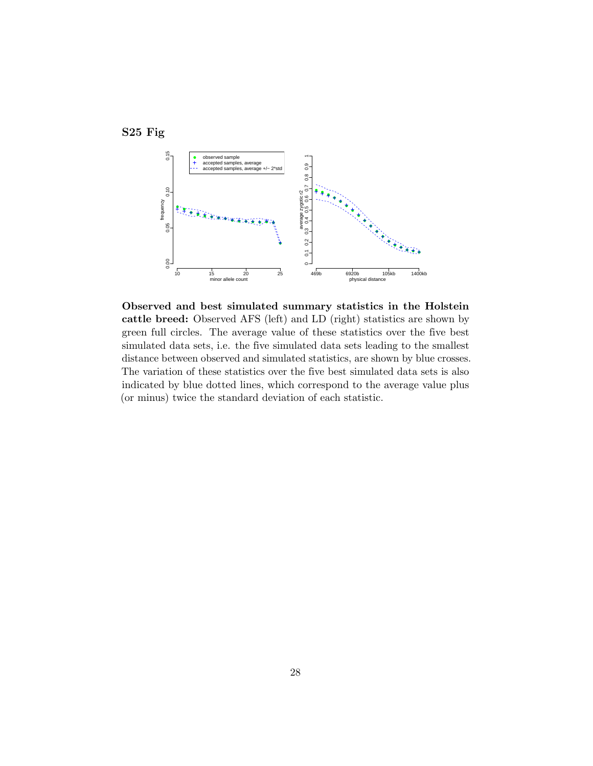



Observed and best simulated summary statistics in the Holstein cattle breed: Observed AFS (left) and LD (right) statistics are shown by green full circles. The average value of these statistics over the five best simulated data sets, i.e. the five simulated data sets leading to the smallest distance between observed and simulated statistics, are shown by blue crosses. The variation of these statistics over the five best simulated data sets is also indicated by blue dotted lines, which correspond to the average value plus (or minus) twice the standard deviation of each statistic.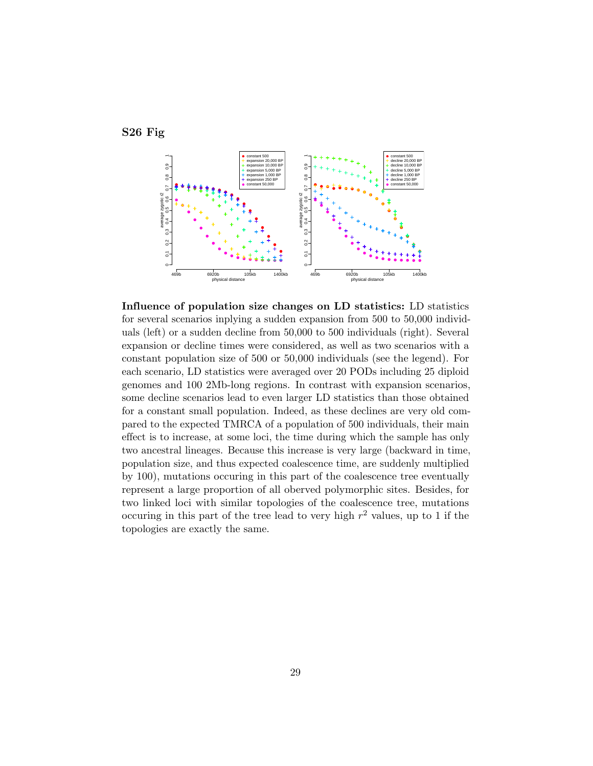

S26 Fig

Influence of population size changes on LD statistics: LD statistics for several scenarios inplying a sudden expansion from 500 to 50,000 individuals (left) or a sudden decline from 50,000 to 500 individuals (right). Several expansion or decline times were considered, as well as two scenarios with a constant population size of 500 or 50,000 individuals (see the legend). For each scenario, LD statistics were averaged over 20 PODs including 25 diploid genomes and 100 2Mb-long regions. In contrast with expansion scenarios, some decline scenarios lead to even larger LD statistics than those obtained for a constant small population. Indeed, as these declines are very old compared to the expected TMRCA of a population of 500 individuals, their main effect is to increase, at some loci, the time during which the sample has only two ancestral lineages. Because this increase is very large (backward in time, population size, and thus expected coalescence time, are suddenly multiplied by 100), mutations occuring in this part of the coalescence tree eventually represent a large proportion of all oberved polymorphic sites. Besides, for two linked loci with similar topologies of the coalescence tree, mutations occuring in this part of the tree lead to very high  $r^2$  values, up to 1 if the topologies are exactly the same.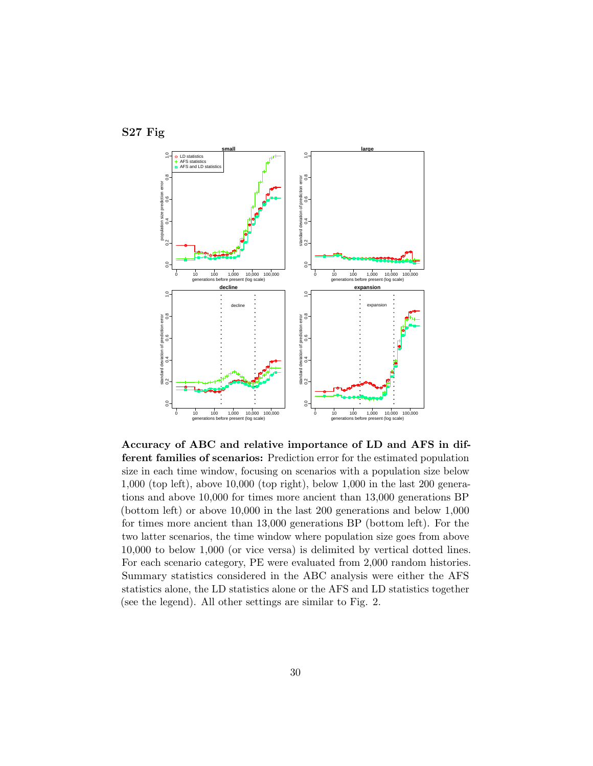

Accuracy of ABC and relative importance of LD and AFS in different families of scenarios: Prediction error for the estimated population size in each time window, focusing on scenarios with a population size below 1,000 (top left), above 10,000 (top right), below 1,000 in the last 200 generations and above 10,000 for times more ancient than 13,000 generations BP (bottom left) or above 10,000 in the last 200 generations and below 1,000 for times more ancient than 13,000 generations BP (bottom left). For the two latter scenarios, the time window where population size goes from above 10,000 to below 1,000 (or vice versa) is delimited by vertical dotted lines. For each scenario category, PE were evaluated from 2,000 random histories. Summary statistics considered in the ABC analysis were either the AFS statistics alone, the LD statistics alone or the AFS and LD statistics together (see the legend). All other settings are similar to Fig. 2.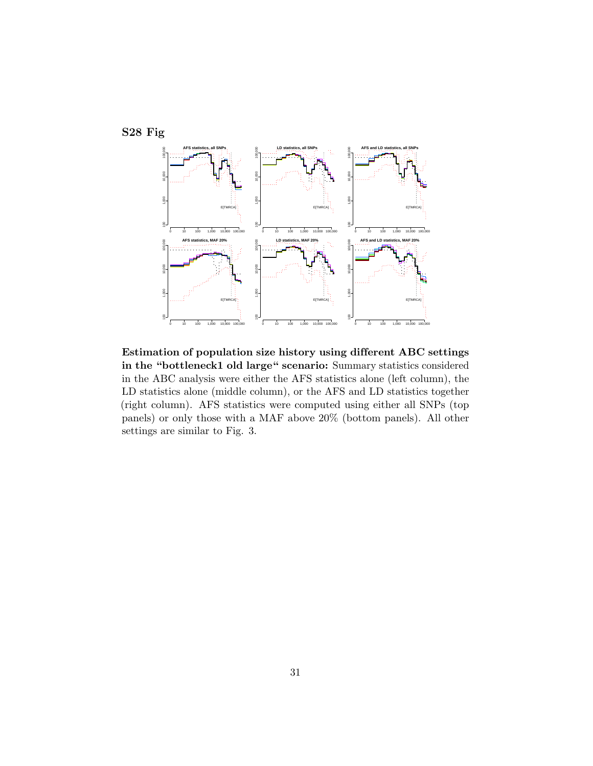

Estimation of population size history using different ABC settings in the "bottleneck1 old large" scenario: Summary statistics considered in the ABC analysis were either the AFS statistics alone (left column), the LD statistics alone (middle column), or the AFS and LD statistics together (right column). AFS statistics were computed using either all SNPs (top panels) or only those with a MAF above 20% (bottom panels). All other settings are similar to Fig. 3.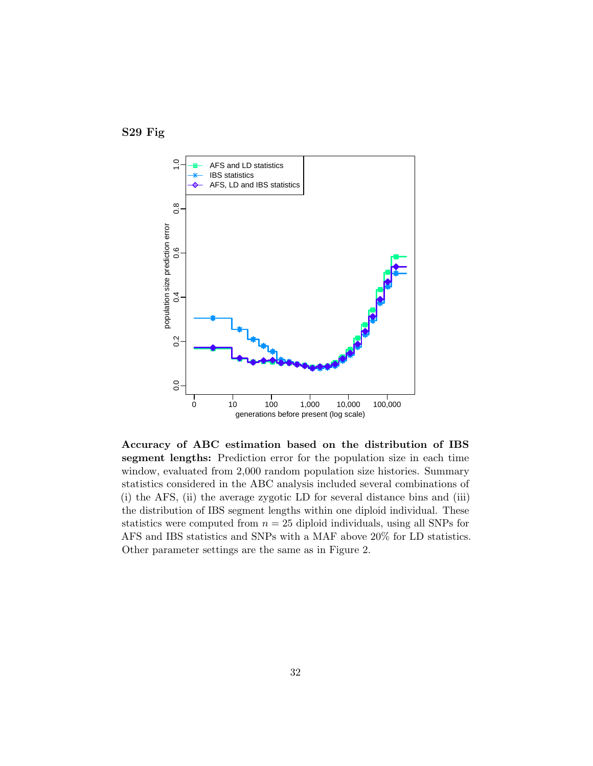



Accuracy of ABC estimation based on the distribution of IBS segment lengths: Prediction error for the population size in each time window, evaluated from 2,000 random population size histories. Summary statistics considered in the ABC analysis included several combinations of (i) the AFS, (ii) the average zygotic LD for several distance bins and (iii) the distribution of IBS segment lengths within one diploid individual. These statistics were computed from  $n = 25$  diploid individuals, using all SNPs for AFS and IBS statistics and SNPs with a MAF above 20% for LD statistics. Other parameter settings are the same as in Figure 2.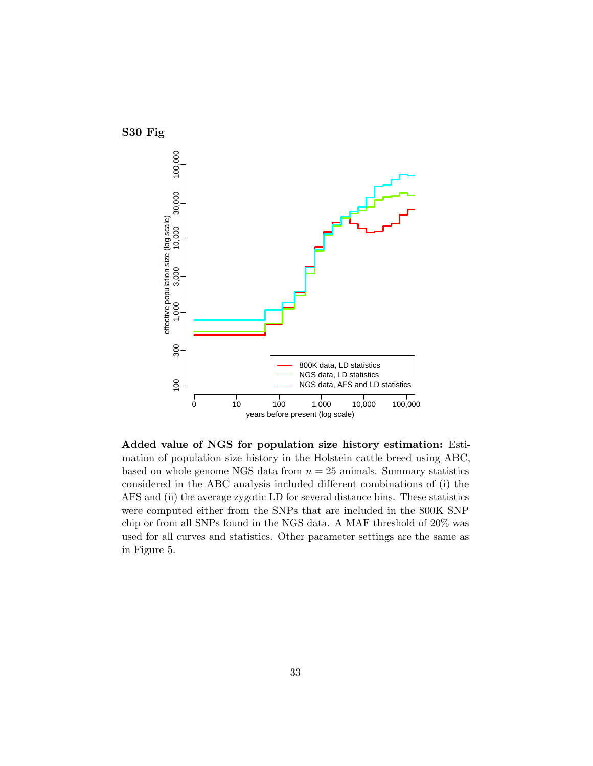

Added value of NGS for population size history estimation: Estimation of population size history in the Holstein cattle breed using ABC, based on whole genome NGS data from  $n = 25$  animals. Summary statistics considered in the ABC analysis included different combinations of (i) the AFS and (ii) the average zygotic LD for several distance bins. These statistics were computed either from the SNPs that are included in the 800K SNP chip or from all SNPs found in the NGS data. A MAF threshold of 20% was used for all curves and statistics. Other parameter settings are the same as in Figure 5.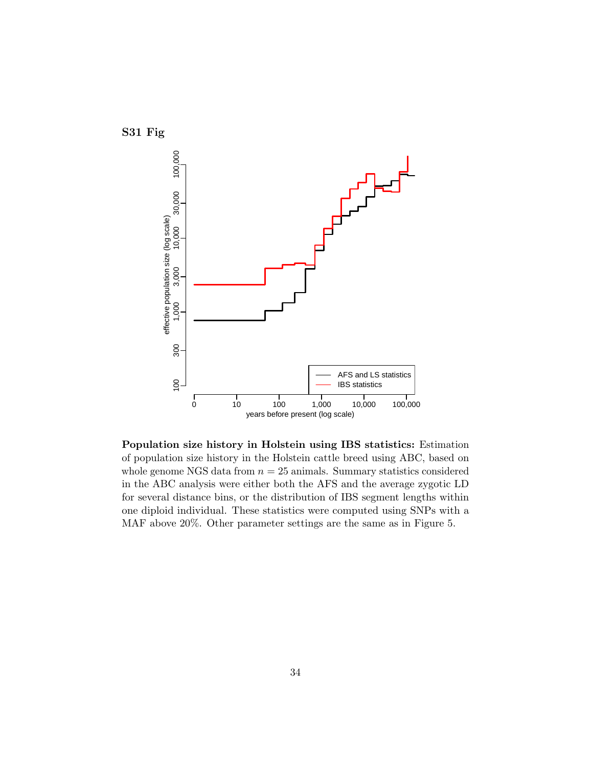

Population size history in Holstein using IBS statistics: Estimation of population size history in the Holstein cattle breed using ABC, based on whole genome NGS data from  $n = 25$  animals. Summary statistics considered in the ABC analysis were either both the AFS and the average zygotic LD for several distance bins, or the distribution of IBS segment lengths within one diploid individual. These statistics were computed using SNPs with a MAF above 20%. Other parameter settings are the same as in Figure 5.